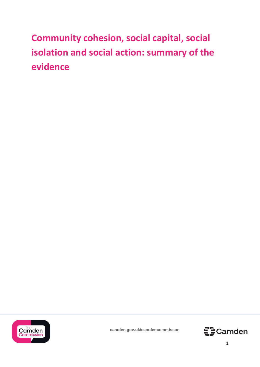**Community cohesion, social capital, social isolation and social action: summary of the evidence**



**camden.gov.uk/camdencommisson**

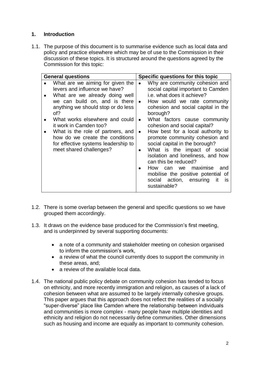# **1. Introduction**

1.1. The purpose of this document is to summarise evidence such as local data and policy and practice elsewhere which may be of use to the Commission in their discussion of these topics. It is structured around the questions agreed by the Commission for this topic:

| <b>General questions</b>                                                                                                                                                                                                                                                                                                                                                                | Specific questions for this topic                                                                                                                                                                                                                                                                                                                                                                                                                                                                                                                                                                    |
|-----------------------------------------------------------------------------------------------------------------------------------------------------------------------------------------------------------------------------------------------------------------------------------------------------------------------------------------------------------------------------------------|------------------------------------------------------------------------------------------------------------------------------------------------------------------------------------------------------------------------------------------------------------------------------------------------------------------------------------------------------------------------------------------------------------------------------------------------------------------------------------------------------------------------------------------------------------------------------------------------------|
| What are we aiming for given the<br>levers and influence we have?<br>What are we already doing well<br>we can build on, and is there<br>anything we should stop or do less<br>of?<br>What works elsewhere and could<br>it work in Camden too?<br>What is the role of partners, and<br>how do we create the conditions<br>for effective systems leadership to<br>meet shared challenges? | Why are community cohesion and<br>social capital important to Camden<br>i.e. what does it achieve?<br>How would we rate community<br>cohesion and social capital in the<br>borough?<br>What factors cause community<br>cohesion and social capital?<br>How best for a local authority to<br>promote community cohesion and<br>social capital in the borough?<br>What is the impact of social<br>isolation and loneliness, and how<br>can this be reduced?<br>maximise<br>How<br>and<br>can<br>we<br>mobilise the positive potential of<br>social action, ensuring<br>it<br><b>IS</b><br>sustainable? |

- 1.2. There is some overlap between the general and specific questions so we have grouped them accordingly.
- 1.3. It draws on the evidence base produced for the Commission's first meeting, and is underpinned by several supporting documents:
	- a note of a community and stakeholder meeting on cohesion organised to inform the commission's work,
	- a review of what the council currently does to support the community in these areas, and;
	- a review of the available local data.
- 1.4. The national public policy debate on community cohesion has tended to focus on ethnicity, and more recently immigration and religion, as causes of a lack of cohesion between what are assumed to be largely internally cohesive groups. This paper argues that this approach does not reflect the realities of a socially "super-diverse" place like Camden where the relationship between individuals and communities is more complex - many people have multiple identities and ethnicity and religion do not necessarily define communities. Other dimensions such as housing and income are equally as important to community cohesion.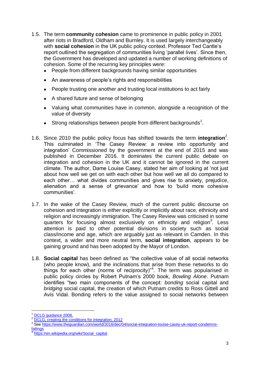- 1.5. The term **community cohesion** came to prominence in public policy in 2001 after riots in Bradford, Oldham and Burnley. It is used largely interchangeably with **social cohesion** in the UK public policy context. Professor Ted Cantle's report outlined the segregation of communities living 'parallel lives'. Since then, the Government has developed and updated a number of working definitions of cohesion. Some of the recurring key principles were:
	- People from different backgrounds having similar opportunities
	- An awareness of people's rights and responsibilities
	- People trusting one another and trusting local institutions to act fairly
	- A shared future and sense of belonging
	- Valuing what communities have in common, alongside a recognition of the value of diversity
	- $\bullet$  Strong relationships between people from different backgrounds<sup>1</sup>.
- 1.6. Since 2010 the public policy focus has shifted towards the term **integration**<sup>2</sup> . This culminated in 'The Casey Review: a review into opportunity and integration' Commissioned by the government at the end of 2015 and was published in December 2016. It dominates the current public debate on integration and cohesion in the UK and it cannot be ignored in the current climate. The author, Dame Louise Casey, stated her aim of looking at 'not just about how well we get on with each other but how well we all do compared to each other… what divides communities and gives rise to anxiety, prejudice, alienation and a sense of grievance' and how to 'build more cohesive communities'.
- 1.7. In the wake of the Casey Review, much of the current public discourse on cohesion and integration is either explicitly or implicitly about race, ethnicity and religion and increasingly immigration. The Casey Review was criticised in some quarters for focusing almost exclusively on ethnicity and religion<sup>3</sup>. Less attention is paid to other potential divisions in society such as social class/income and age, which are arguably just as relevant in Camden. In this context, a wider and more neutral term, **social integration**, appears to be gaining ground and has been adopted by the Mayor of London.
- 1.8. **Social capital** has been defined as "the collective value of all social networks (who people know), and the inclinations that arise from these networks to do things for each other (norms of reciprocity)<sup> $n<sup>4</sup>$ . The term was popularised in</sup> public policy circles by Robert Putnam's 2000 book, *Bowling Alone*. Putnam identifies "two main components of the concept: *bonding* social capital and *bridging* social capital, the creation of which Putnam credits to Ross Gittell and Avis Vidal. Bonding refers to the value assigned to social networks between

 $\overline{\phantom{a}}$ DCLG quidance 2008,

<sup>&</sup>lt;sup>2</sup> [DCLG, creating the conditions for integration, 2012](https://www.gov.uk/government/uploads/system/uploads/attachment_data/file/7504/2092103.pdf)

<sup>3</sup> See [https://www.theguardian.com/world/2016/dec/04/social-integration-louise-casey-uk-report-condemns](https://www.theguardian.com/world/2016/dec/04/social-integration-louise-casey-uk-report-condemns-failings)**[failings](https://www.theguardian.com/world/2016/dec/04/social-integration-louise-casey-uk-report-condemns-failings)** 

<sup>4</sup> [https://en.wikipedia.org/wiki/Social\\_capital](https://en.wikipedia.org/wiki/Social_capital)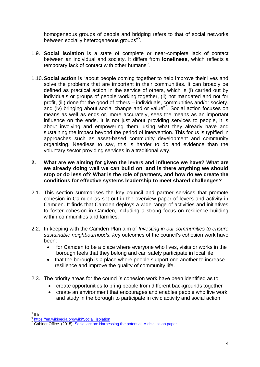homogeneous groups of people and bridging refers to that of social networks between socially heterogeneous groups"<sup>5</sup>.

- 1.9. **Social isolation** is a state of complete or near-complete lack of contact between an individual and society. It differs from **loneliness**, which reflects a temporary lack of contact with other humans<sup>6</sup>.
- 1.10.**Social action** is "about people coming together to help improve their lives and solve the problems that are important in their communities. It can broadly be defined as practical action in the service of others, which is (i) carried out by individuals or groups of people working together, (ii) not mandated and not for profit, (iii) done for the good of others – individuals, communities and/or society, and (iv) bringing about social change and or value"<sup>7</sup>. Social action focuses on means as well as ends or, more accurately, sees the means as an important influence on the ends. It is not just about providing services to people, it is about involving and empowering them, using what they already have and sustaining the impact beyond the period of intervention. This focus is typified in approaches such as asset-based community development and community organising. Needless to say, this is harder to do and evidence than the voluntary sector providing services in a traditional way.
- **2. What are we aiming for given the levers and influence we have? What are we already doing well we can build on, and is there anything we should stop or do less of? What is the role of partners, and how do we create the conditions for effective systems leadership to meet shared challenges?**
- 2.1. This section summarises the key council and partner services that promote cohesion in Camden as set out in the overview paper of levers and activity in Camden. It finds that Camden deploys a wide range of activities and initiatives to foster cohesion in Camden, including a strong focus on resilience building within communities and families.
- 2.2. In keeping with the Camden Plan aim of *Investing in our communities to ensure sustainable neighbourhoods, k*ey outcomes of the council's cohesion work have been:
	- for Camden to be a place where everyone who lives, visits or works in the borough feels that they belong and can safely participate in local life
	- that the borough is a place where people support one another to increase resilience and improve the quality of community life.
- 2.3. The priority areas for the council's cohesion work have been identified as to:
	- create opportunities to bring people from different backgrounds together
	- create an environment that encourages and enables people who live work and study in the borough to participate in civic activity and social action

 $\frac{1}{5}$  Ibid.

<sup>&</sup>lt;sup>6</sup> [https://en.wikipedia.org/wiki/Social\\_isolation](https://en.wikipedia.org/wiki/Social_isolation)

<sup>&</sup>lt;sup>7</sup> Cabinet Office. (2015). [Social action: Harnessing the potential: A discussion paper](http://www.gov.uk/government/publications/social-action-harnessing-the-potential)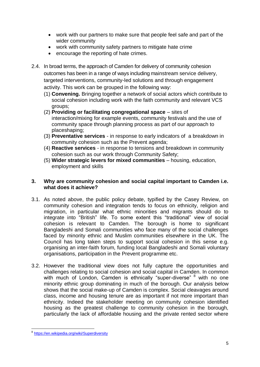- work with our partners to make sure that people feel safe and part of the wider community
- work with community safety partners to mitigate hate crime
- encourage the reporting of hate crimes.
- 2.4. In broad terms, the approach of Camden for delivery of community cohesion outcomes has been in a range of ways including mainstream service delivery, targeted interventions, community-led solutions and through engagement activity. This work can be grouped in the following way:
	- (1) **Convening.** Bringing together a network of social actors which contribute to social cohesion including work with the faith community and relevant VCS groups;
	- (2) **Providing or facilitating congregational space** sites of interaction/mixing for example events, community festivals and the use of community space through planning process as part of our approach to placeshaping;
	- (3) **Preventative services** in response to early indicators of a breakdown in community cohesion such as the Prevent agenda;
	- (4) **Reactive services** in response to tensions and breakdown in community cohesion such as our work through Community Safety;
	- (5) **Wider strategic levers for mixed communities** housing, education, employment and skills

### **3. Why are community cohesion and social capital important to Camden i.e. what does it achieve?**

- 3.1. As noted above, the public policy debate, typified by the Casey Review, on community cohesion and integration tends to focus on ethnicity, religion and migration, in particular what ethnic minorities and migrants should do to integrate into "British" life. To some extent this "traditional" view of social cohesion is relevant to Camden. The borough is home to significant Bangladeshi and Somali communities who face many of the social challenges faced by minority ethnic and Muslim communities elsewhere in the UK. The Council has long taken steps to support social cohesion in this sense e.g. organising an inter-faith forum, funding local Bangladeshi and Somali voluntary organisations, participation in the Prevent programme etc.
- 3.2. However the traditional view does not fully capture the opportunities and challenges relating to social cohesion and social capital in Camden. In common with much of London, Camden is ethnically "super-diverse" <sup>8</sup> with no one minority ethnic group dominating in much of the borough. Our analysis below shows that the social make-up of Camden is complex. Social cleavages around class, income and housing tenure are as important if not more important than ethnicity. Indeed the stakeholder meeting on community cohesion identified housing as the greatest challenge to community cohesion in the borough, particularly the lack of affordable housing and the private rented sector where

 8 <https://en.wikipedia.org/wiki/Superdiversity>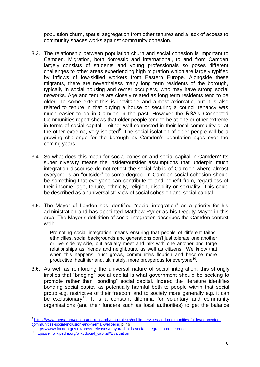population churn, spatial segregation from other tenures and a lack of access to community spaces works against community cohesion.

- 3.3. The relationship between population churn and social cohesion is important to Camden. Migration, both domestic and international, to and from Camden largely consists of students and young professionals so poses different challenges to other areas experiencing high migration which are largely typified by inflows of low-skilled workers from Eastern Europe. Alongside these migrants, there are nevertheless many long term residents of the borough, typically in social housing and owner occupiers, who may have strong social networks. Age and tenure are closely related as long term residents tend to be older. To some extent this is inevitable and almost axiomatic, but it is also related to tenure in that buying a house or securing a council tenancy was much easier to do in Camden in the past. However the RSA's Connected Communities report shows that older people tend to be at one or other extreme in terms of social capital – either well-connected in their local community or at the other extreme, very isolated $9$ . The social isolation of older people will be a growing challenge for the borough as Camden's population ages over the coming years.
- 3.4. So what does this mean for social cohesion and social capital in Camden? Its super diversity means the insider/outsider assumptions that underpin much integration discourse do not reflect the social fabric of Camden where almost everyone is an "outsider" to some degree. In Camden social cohesion should be something that everyone can contribute to and benefit from, regardless of their income, age, tenure, ethnicity, religion, disability or sexuality. This could be described as a "universalist" view of social cohesion and social capital.
- 3.5. The Mayor of London has identified "social integration" as a priority for his administration and has appointed Matthew Ryder as his Deputy Mayor in this area. The Mayor's definition of social integration describes the Camden context well:

Promoting social integration means ensuring that people of different faiths, ethnicities, social backgrounds and generations don't just tolerate one another or live side-by-side, but actually meet and mix with one another and forge relationships as friends and neighbours, as well as citizens. We know that when this happens, trust grows, communities flourish and become more productive, healthier and, ultimately, more prosperous for everyone<sup>10</sup>.

3.6. As well as reinforcing the universal nature of social integration, this strongly implies that "bridging" social capital is what government should be seeking to promote rather than "bonding" social capital. Indeed the literature identifies bonding social capital as potentially harmful both to people within that social group e.g. restrictive of their freedom and to society more generally e.g. it can be exclusionary<sup>11</sup>. It is a constant dilemma for voluntary and community organisations (and their funders such as local authorities) to get the balance

 $\overline{\phantom{a}}$ <sup>9</sup> [https://www.thersa.org/action-and-research/rsa-projects/public-services-and-communities-folder/connected](https://www.thersa.org/action-and-research/rsa-projects/public-services-and-communities-folder/connected-communities-social-inclusion-and-mental-wellbeing)[communities-social-inclusion-and-mental-wellbeing](https://www.thersa.org/action-and-research/rsa-projects/public-services-and-communities-folder/connected-communities-social-inclusion-and-mental-wellbeing) p. 46

<sup>&</sup>lt;sup>10</sup> <https://www.london.gov.uk/press-releases/mayoral/holds-social-integration-conference>

<sup>11</sup> [https://en.wikipedia.org/wiki/Social\\_capital#Evaluation](https://en.wikipedia.org/wiki/Social_capital#Evaluation)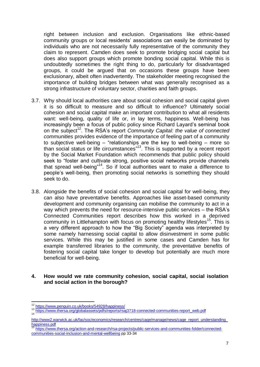right between inclusion and exclusion. Organisations like ethnic-based community groups or local residents' associations can easily be dominated by individuals who are not necessarily fully representative of the community they claim to represent. Camden does seek to promote bridging social capital but does also support groups which promote bonding social capital. While this is undoubtedly sometimes the right thing to do, particularly for disadvantaged groups, it could be argued that on occasions these groups have been exclusionary, albeit often inadvertently. The stakeholder meeting recognised the importance of building bridges between what was generally recognised as a strong infrastructure of voluntary sector, charities and faith groups.

- 3.7. Why should local authorities care about social cohesion and social capital given it is so difficult to measure and so difficult to influence? Ultimately social cohesion and social capital make an important contribution to what all residents want: well-being, quality of life or, in lay terms, happiness. Well-being has increasingly been a focus of public policy since Richard Layard's seminal book on the subject<sup>12</sup>. The RSA's report *Community Capital: the value of connected communities* provides evidence of the importance of feeling part of a community to subjective well-being – "relationships are the key to well-being – more so than social status or life circumstances<sup>"13</sup>. This is supported by a recent report by the Social Market Foundation which recommends that public policy should seek to "foster and cultivate strong, positive social networks provide channels that spread well-being"<sup>14</sup>. So if local authorities want to make a difference to people's well-being, then promoting social networks is something they should seek to do.
- 3.8. Alongside the benefits of social cohesion and social capital for well-being, they can also have preventative benefits. Approaches like asset-based community development and community organising can mobilise the community to act in a way which prevents the need for resource-intensive public services – the RSA's Connected Communities report describes how this worked in a deprived community in Littlehampton with focus on promoting healthy lifestyles<sup>15</sup>. This is a very different approach to how the "Big Society" agenda was interpreted by some namely harnessing social capital to allow disinvestment in some public services. While this may be justified in some cases and Camden has for example transferred libraries to the community, the preventative benefits of fostering social capital take longer to develop but potentially are much more beneficial for well-being.
- **4. How would we rate community cohesion, social capital, social isolation and social action in the borough?**

 $\overline{\phantom{a}}$ <sup>12</sup> <https://www.penguin.co.uk/books/54928/happiness/>

<sup>&</sup>lt;sup>13</sup> [https://www.thersa.org/globalassets/pdfs/reports/rsaj3718-connected-communities-report\\_web.pdf](https://www.thersa.org/globalassets/pdfs/reports/rsaj3718-connected-communities-report_web.pdf)<br><sup>14</sup>

http://www2.warwick.ac.uk/fac/soc/economics/research/centres/cage/manage/news/cage\_report\_understanding [happiness.pdf](http://www2.warwick.ac.uk/fac/soc/economics/research/centres/cage/manage/news/cage_report_understanding_happiness.pdf)

<sup>15</sup> [https://www.thersa.org/action-and-research/rsa-projects/public-services-and-communities-folder/connected](https://www.thersa.org/action-and-research/rsa-projects/public-services-and-communities-folder/connected-communities-social-inclusion-and-mental-wellbeing)[communities-social-inclusion-and-mental-wellbeing](https://www.thersa.org/action-and-research/rsa-projects/public-services-and-communities-folder/connected-communities-social-inclusion-and-mental-wellbeing) pp 33-34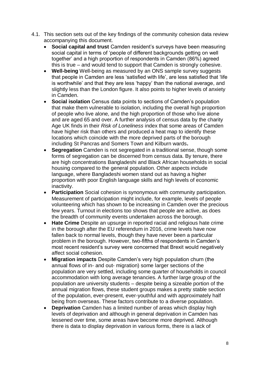- 4.1. This section sets out of the key findings of the community cohesion data review accompanying this document.
	- **Social capital and trust** Camden resident's surveys have been measuring social capital in terms of 'people of different backgrounds getting on well together' and a high proportion of respondents in Camden (86%) agreed this is true – and would tend to support that Camden is strongly cohesive.
	- **Well-being** Well-being as measured by an ONS sample survey suggests that people in Camden are less 'satisfied with life', are less satisfied that 'life is worthwhile' and that they are less 'happy' than the national average, and slightly less than the London figure. It also points to higher levels of anxiety in Camden.
	- **Social isolation** Census data points to sections of Camden's population that make them vulnerable to isolation, including the overall high proportion of people who live alone, and the high proportion of those who live alone and are aged 65 and over. A further analysis of census data by the charity Age UK finds in their *Risk of Loneliness* index that some areas of Camden have higher risk than others and produced a heat map to identify these locations which coincide with the more deprived parts of the borough including St Pancras and Somers Town and Kilburn wards**.**
	- **Segregation** Camden is not segregated in a traditional sense, though some forms of segregation can be discerned from census data. By tenure, there are high concentrations Bangladeshi and Black African households in social housing compared to the general population. Other aspects include language, where Bangladeshi women stand out as having a higher proportion with poor English language skills and high levels of economic inactivity.
	- **Participation** Social cohesion is synonymous with community participation. Measurement of participation might include, for example, levels of people volunteering which has shown to be increasing in Camden over the precious few years. Turnout in elections too shows that people are active, as does the breadth of community events undertaken across the borough.
	- **Hate Crime** Despite an upsurge in reported racial and religious hate crime in the borough after the EU referendum in 2016, crime levels have now fallen back to normal levels, though they have never been a particular problem in the borough. However, two-fifths of respondents in Camden's most recent resident's survey were concerned that Brexit would negatively affect social cohesion.
	- **Migration impacts** Despite Camden's very high population churn (the annual flows of in- and out- migration) some larger sections of the population are very settled, including some quarter of households in council accommodation with long average tenancies. A further large group of the population are university students – despite being a sizeable portion of the annual migration flows, these student groups makes a pretty stable section of the population, ever-present, ever-youthful and with approximately half being from overseas. These factors contribute to a diverse population.
	- **Deprivation** Camden has a limited number of areas which display high levels of deprivation and although in general deprivation in Camden has lessened over time, some areas have become more deprived. Although there is data to display deprivation in various forms, there is a lack of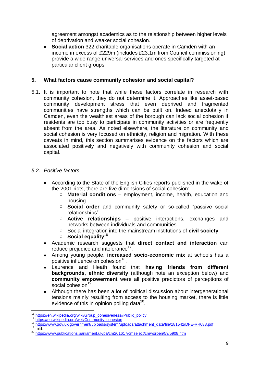agreement amongst academics as to the relationship between higher levels of deprivation and weaker social cohesion.

 **Social action** 322 charitable organisations operate in Camden with an income in excess of £229m (includes £23.1m from Council commissioning) provide a wide range universal services and ones specifically targeted at particular client groups.

### **5. What factors cause community cohesion and social capital?**

5.1. It is important to note that while these factors correlate in research with community cohesion, they do not determine it. Approaches like asset-based community development stress that even deprived and fragmented communities have strengths which can be built on. Indeed anecdotally in Camden, even the wealthiest areas of the borough can lack social cohesion if residents are too busy to participate in community activities or are frequently absent from the area. As noted elsewhere, the literature on community and social cohesion is very focused on ethnicity, religion and migration. With these caveats in mind, this section summarises evidence on the factors which are associated positively and negatively with community cohesion and social capital.

# *5.2. Positive factors*

- According to the State of the English Cities reports published in the wake of the 2001 riots, there are five dimensions of social cohesion:
	- o **Material conditions** employment, income, health, education and housing
	- o **Social order** and community safety or so-called "passive social relationships"
	- o **Active relationships** positive interactions, exchanges and networks between individuals and communities
	- o Social integration into the mainstream institutions of **civil society**
	- o **Social equality**<sup>16</sup>
- Academic research suggests that **direct contact and interaction** can reduce prejudice and intolerance<sup>17</sup>.
- Among young people, **increased socio-economic mix** at schools has a positive influence on cohesion<sup>18</sup>.
- Laurence and Heath found that **having friends from different backgrounds**, **ethnic diversity** (although note an exception below) and **community empowerment** were all positive predictors of perceptions of social cohesion<sup>19</sup>.
- Although there has been a lot of political discussion about intergenerational tensions mainly resulting from access to the housing market, there is little evidence of this in opinion polling data $20$ .

 $\overline{\phantom{a}}$ <sup>16</sup> [https://en.wikipedia.org/wiki/Group\\_cohesiveness#Public\\_policy](https://en.wikipedia.org/wiki/Group_cohesiveness#Public_policy)

<sup>17</sup> [https://en.wikipedia.org/wiki/Community\\_cohesion](https://en.wikipedia.org/wiki/Community_cohesion)

<sup>18</sup> [https://www.gov.uk/government/uploads/system/uploads/attachment\\_data/file/181542/DFE-RR033.pdf](https://www.gov.uk/government/uploads/system/uploads/attachment_data/file/181542/DFE-RR033.pdf)

 $19$   $\overline{Ibid}$ .

<sup>20</sup> <https://www.publications.parliament.uk/pa/cm201617/cmselect/cmworpen/59/5908.htm>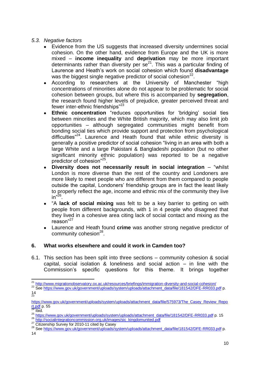### *5.3. Negative factors*

- Evidence from the US suggests that increased diversity undermines social cohesion. On the other hand, evidence from Europe and the UK is more mixed – **income inequality** and **deprivation** may be more important determinants rather than diversity per  $se^{21}$ . This was a particular finding of Laurence and Heath's work on social cohesion which found **disadvantage** was the biggest single negative predictor of social cohesion $^{22}$ .
- According to researchers at the University of Manchester "high concentrations of minorities alone do not appear to be problematic for social cohesion between groups, but where this is accompanied by **segregation**, the research found higher levels of prejudice, greater perceived threat and fewer inter-ethnic friendships"<sup>23</sup>
- **Ethnic concentration** "reduces opportunities for 'bridging' social ties between minorities and the White British majority, which may also limit job opportunities – although segregated communities might benefit from bonding social ties which provide support and protection from psychological difficulties"<sup>24</sup> . Laurence and Heath found that while ethnic diversity is generally a positive predictor of social cohesion "living in an area with both a large White and a large Pakistani & Bangladeshi population (but no other significant minority ethnic population) was reported to be a negative predictor of cohesion"<sup>25</sup>.
- **Diversity does not necessarily result in social integration** "whilst London is more diverse than the rest of the country and Londoners are more likely to meet people who are different from them compared to people outside the capital, Londoners' friendship groups are in fact the least likely to properly reflect the age, income and ethnic mix of the community they live in"<sup>26</sup> .
- "A **lack of social mixing** was felt to be a key barrier to getting on with people from different backgrounds, with 1 in 4 people who disagreed that they lived in a cohesive area citing lack of social contact and mixing as the reason"<sup>27</sup>
- Laurence and Heath found **crime** was another strong negative predictor of community cohesion<sup>28</sup>.

### **6. What works elsewhere and could it work in Camden too?**

6.1. This section has been split into three sections – community cohesion & social capital, social isolation & loneliness and social action – in line with the Commission's specific questions for this theme. It brings together

 $\overline{\phantom{a}}$ <sup>21</sup> <http://www.migrationobservatory.ox.ac.uk/resources/briefings/immigration-diversity-and-social-cohesion/>

<sup>&</sup>lt;sup>22</sup> Se[e https://www.gov.uk/government/uploads/system/uploads/attachment\\_data/file/181542/DFE-RR033.pdf](https://www.gov.uk/government/uploads/system/uploads/attachment_data/file/181542/DFE-RR033.pdf) p. 14 23

[https://www.gov.uk/government/uploads/system/uploads/attachment\\_data/file/575973/The\\_Casey\\_Review\\_Repo](https://www.gov.uk/government/uploads/system/uploads/attachment_data/file/575973/The_Casey_Review_Report.pdf) [rt.pdf](https://www.gov.uk/government/uploads/system/uploads/attachment_data/file/575973/The_Casey_Review_Report.pdf) p. 55

 $24$  Ibid.

<sup>25</sup> [https://www.gov.uk/government/uploads/system/uploads/attachment\\_data/file/181542/DFE-RR033.pdf](https://www.gov.uk/government/uploads/system/uploads/attachment_data/file/181542/DFE-RR033.pdf) p. 15

<sup>26</sup> [http://socialintegrationcommission.org.uk/images/sic\\_kingdomunited.pdf](http://socialintegrationcommission.org.uk/images/sic_kingdomunited.pdf)

<sup>&</sup>lt;sup>27</sup> Citizenship Survey for 2010-11 cited by Casey

<sup>28</sup> Se[e https://www.gov.uk/government/uploads/system/uploads/attachment\\_data/file/181542/DFE-RR033.pdf](https://www.gov.uk/government/uploads/system/uploads/attachment_data/file/181542/DFE-RR033.pdf) p.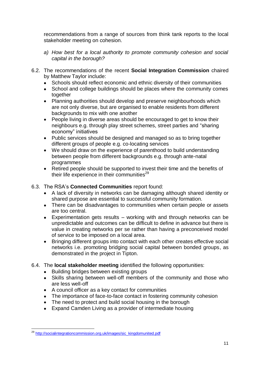recommendations from a range of sources from think tank reports to the local stakeholder meeting on cohesion.

- *a) How best for a local authority to promote community cohesion and social capital in the borough?*
- 6.2. The recommendations of the recent **Social Integration Commission** chaired by Matthew Taylor include:
	- Schools should reflect economic and ethnic diversity of their communities
	- School and college buildings should be places where the community comes together
	- Planning authorities should develop and preserve neighbourhoods which are not only diverse, but are organised to enable residents from different backgrounds to mix with one another
	- People living in diverse areas should be encouraged to get to know their neighbours e.g. through play street schemes, street parties and "sharing economy" initiatives
	- Public services should be designed and managed so as to bring together different groups of people e.g. co-locating services
	- We should draw on the experience of parenthood to build understanding between people from different backgrounds e.g. through ante-natal programmes
	- Retired people should be supported to invest their time and the benefits of their life experience in their communities $^{29}$
- 6.3. The RSA's **Connected Communities** report found:
	- A lack of diversity in networks can be damaging although shared identity or shared purpose are essential to successful community formation.
	- There can be disadvantages to communities when certain people or assets are too central.
	- Experimentation gets results working with and through networks can be unpredictable and outcomes can be difficult to define in advance but there is value in creating networks per se rather than having a preconceived model of service to be imposed on a local area.
	- Bringing different groups into contact with each other creates effective social networks i.e. promoting bridging social capital between bonded groups, as demonstrated in the project in Tipton.
- 6.4. The **local stakeholder meeting** identified the following opportunities:
	- Building bridges between existing groups
	- Skills sharing between well-off members of the community and those who are less well-off
	- A council officer as a key contact for communities
	- The importance of face-to-face contact in fostering community cohesion
	- The need to protect and build social housing in the borough
	- Expand Camden Living as a provider of intermediate housing

 $\overline{\phantom{a}}$ <sup>29</sup> [http://socialintegrationcommission.org.uk/images/sic\\_kingdomunited.pdf](http://socialintegrationcommission.org.uk/images/sic_kingdomunited.pdf)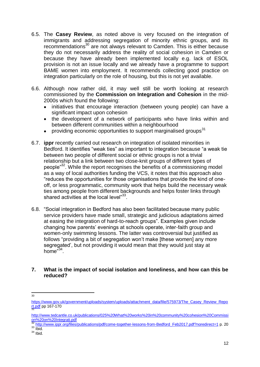- 6.5. The **Casey Review**, as noted above is very focused on the integration of immigrants and addressing segregation of minority ethnic groups, and its recommendations<sup>30</sup> are not always relevant to Camden. This is either because they do not necessarily address the reality of social cohesion in Camden or because they have already been implemented locally e.g. lack of ESOL provision is not an issue locally and we already have a programme to support BAME women into employment. It recommends collecting good practice on integration particularly on the role of housing, but this is not yet available.
- 6.6. Although now rather old, it may well still be worth looking at research commissioned by the **Commission on Integration and Cohesion** in the mid-2000s which found the following:
	- initiatives that encourage interaction (between young people) can have a significant impact upon cohesion
	- the development of a network of participants who have links within and between different communities within a neighbourhood
	- $\bullet$  providing economic opportunities to support marginalised groups<sup>31</sup>
- 6.7. **ippr** recently carried out research on integration of isolated minorities in Bedford. It identifies "weak ties" as important to integration because "a weak tie between two people of different social or ethnic groups is not a trivial relationship but a link between two close-knit groups of different types of people<sup>"32</sup>. While the report recognises the benefits of a commissioning model as a way of local authorities funding the VCS, it notes that this approach also "reduces the opportunities for those organisations that provide the kind of oneoff, or less programmatic, community work that helps build the necessary weak ties among people from different backgrounds and helps foster links through shared activities at the local level"<sup>33</sup>.
- 6.8. "Social integration in Bedford has also been facilitated because many public service providers have made small, strategic and judicious adaptations aimed at easing the integration of hard-to-reach groups". Examples given include changing how parents' evenings at schools operate, inter-faith group and women-only swimming lessons. The latter was controversial but justified as follows "providing a bit of segregation won't make [these women] any more segregated', but not providing it would mean that they would just stay at home<sup>"34</sup>.
- **7. What is the impact of social isolation and loneliness, and how can this be reduced?**

[http://www.ippr.org/files/publications/pdf/come-together-lessons-from-Bedford\\_Feb2017.pdf?noredirect=1](http://www.ippr.org/files/publications/pdf/come-together-lessons-from-Bedford_Feb2017.pdf?noredirect=1) p. 20

 $\frac{1}{30}$ 

[https://www.gov.uk/government/uploads/system/uploads/attachment\\_data/file/575973/The\\_Casey\\_Review\\_Repo](https://www.gov.uk/government/uploads/system/uploads/attachment_data/file/575973/The_Casey_Review_Report.pdf) <mark>[rt.pdf](https://www.gov.uk/government/uploads/system/uploads/attachment_data/file/575973/The_Casey_Review_Report.pdf)</mark> pp 167-170

[http://www.tedcantle.co.uk/publications/025%20What%20works%20in%20community%20cohesion%20Commissi](http://www.tedcantle.co.uk/publications/025%20What%20works%20in%20community%20cohesion%20Commission%20on%20Integrati.pdf) [on%20on%20Integrati.pdf](http://www.tedcantle.co.uk/publications/025%20What%20works%20in%20community%20cohesion%20Commission%20on%20Integrati.pdf)

 $33$  Ibid.  $34$  Ibid.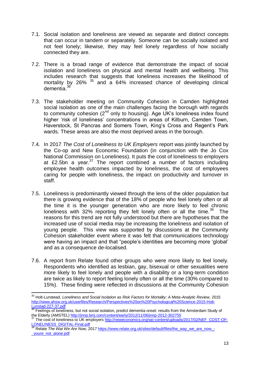- 7.1. Social isolation and loneliness are viewed as separate and distinct concepts that can occur in tandem or separately. Someone can be socially isolated and not feel lonely; likewise, they may feel lonely regardless of how socially connected they are.
- 7.2. There is a broad range of evidence that demonstrate the impact of social isolation and loneliness on physical and mental health and wellbeing. This includes research that suggests that loneliness increases the likelihood of mortality by 26% <sup>35</sup> and a 64% increased chance of developing clinical dementia<sup>36</sup>
- 7.3. The stakeholder meeting on Community Cohesion in Camden highlighted social isolation as one of the main challenges facing the borough with regards to community cohesion  $(2^{nd}$  only to housing). Age UK's loneliness index found higher 'risk of loneliness' concentrations in areas of Kilburn, Camden Town, Haverstock, St Pancras and Somers Town, King's Cross and Regent's Park wards. These areas are also the most deprived areas in the borough.
- 7.4. In 2017 *The Cost of Loneliness to UK Employers* report was jointly launched by the Co-op and New Economic Foundation (in conjunction with the Jo Cox National Commission on Loneliness). It puts the cost of loneliness to employers at £2.5bn a year. $37$  The report combined a number of factors including employee health outcomes impacted by loneliness, the cost of employees caring for people with loneliness, the impact on productivity and turnover in staff.
- 7.5. Loneliness is predominantly viewed through the lens of the older population but there is growing evidence that of the 18% of people who feel lonely often or all the time it is the younger generation who are more likely to feel chronic loneliness with  $32\%$  reporting they felt lonely often or all the time.<sup>38</sup> The reasons for this trend are not fully understood but there are hypotheses that the increased use of social media may be increasing the loneliness and isolation of young people. This view was supported by discussions at the Community Cohesion stakeholder event where it was felt that communications technology were having an impact and that "people's identities are becoming more 'global' and as a consequence de-localised.
- 7.6. A report from Relate found other groups who were more likely to feel lonely. Respondents who identified as lesbian, gay, bisexual or other sexualities were more likely to feel lonely and people with a disability or a long-term condition are twice as likely to report feeling lonely often or all the time (30% compared to 15%). These finding were reflected in discussions at the Community Cohesion

 $\overline{\phantom{a}}$ <sup>35</sup> Holt-Lunstead, *Loneliness and Social Isolation as Risk Factors for Mortality: A Meta-Analytic Review*, 2015 [http://www.ahsw.org.uk/userfiles/Research/Perspectives%20on%20Psychological%20Science-2015-Holt-](http://www.ahsw.org.uk/userfiles/Research/Perspectives%20on%20Psychological%20Science-2015-Holt-Lunstad-227-37.pdf)[Lunstad-227-37.pdf](http://www.ahsw.org.uk/userfiles/Research/Perspectives%20on%20Psychological%20Science-2015-Holt-Lunstad-227-37.pdf)

**<sup>36</sup> Feelings of loneliness, but not social isolation, predict dementia onset: results from the Amsterdam Study of** the Elderly (AMSTEL) <http://jnnp.bmj.com/content/early/2012/11/06/jnnp-2012-302755>

<sup>&</sup>lt;sup>37</sup> The cost of loneliness to UK employers [http://neweconomics.org/wp-content/uploads/2017/02/NEF\\_COST-OF-](http://neweconomics.org/wp-content/uploads/2017/02/NEF_COST-OF-LONELINESS_DIGITAL-Final.pdf)[LONELINESS\\_DIGITAL-Final.pdf](http://neweconomics.org/wp-content/uploads/2017/02/NEF_COST-OF-LONELINESS_DIGITAL-Final.pdf)

<sup>38</sup> Relate *The Wat We Are Now,* 201[7 https://www.relate.org.uk/sites/default/files/the\\_way\\_we\\_are\\_now\\_-](https://www.relate.org.uk/sites/default/files/the_way_we_are_now_-_youre_not_alone.pdf) [\\_youre\\_not\\_alone.pdf](https://www.relate.org.uk/sites/default/files/the_way_we_are_now_-_youre_not_alone.pdf)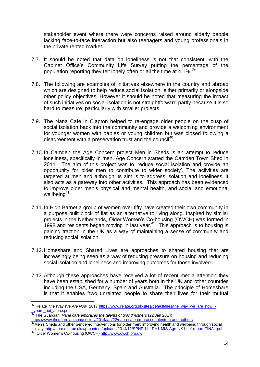stakeholder event where there were concerns raised around elderly people lacking face-to-face interaction but also teenagers and young professionals in the private rented market.

- 7.7. It should be noted that data on loneliness is not that consistent, with the Cabinet Office's Community Life Survey putting the percentage of the population reporting they felt lonely often or all the time at  $4.1\%$ .
- 7.8. The following are examples of initiatives elsewhere in the country and abroad which are designed to help reduce social isolation, either primarily or alongside other policy objectives. However it should be noted that measuring the impact of such initiatives on social isolation is not straightforward partly because it is so hard to measure, particularly with smaller projects.
- 7.9. The Nana Café in Clapton helped to re-engage older people on the cusp of social isolation back into the community and provide a welcoming environment for younger women with babies or young children but was closed following a disagreement with a preservation trust and the council<sup>40</sup>.
- 7.10.In Camden the Age Concern project Men in Sheds is an attempt to reduce loneliness, specifically in men. Age Concern started the Camden Town Shed in 2011. The aim of this project was to 'reduce social isolation and provide an opportunity for older men to contribute to wider society'. The activities are targeted at men and although its aim is to address isolation and loneliness, it also acts as a gateway into other activities. This approach has been evidenced to improve older men's physical and mental health, and social and emotional wellbeing<sup>41</sup>.
- 7.11.In High Barnet a group of women over fifty have created their own community in a purpose built block of flat as an alternative to living along. Inspired by similar projects in the Netherlands, Older Women's Co-housing (OWCH) was formed in 1998 and residents began moving in last year. $42$  This approach is to housing is gaining traction in the UK as a way of maintaining a sense of community and reducing social isolation.
- 7.12.Homeshare and Shared Lives are approaches to shared housing that are increasingly being seen as a way of reducing pressure on housing and reducing social isolation and loneliness and improving outcomes for those involved.
- 7.13.Although these approaches have received a lot of recent media attention they have been established for a number of years both in the UK and other countries including the USA, Germany, Spain and Australia. The principle of Homeshare is that it enables "two unrelated people to share their lives for their mutual

 $\overline{\phantom{a}}$ 

<sup>&</sup>lt;sup>39</sup> Relate *The Way We Are Now,* 201[7 https://www.relate.org.uk/sites/default/files/the\\_way\\_we\\_are\\_now\\_-](https://www.relate.org.uk/sites/default/files/the_way_we_are_now_-_youre_not_alone.pdf) [\\_youre\\_not\\_alone.pdf](https://www.relate.org.uk/sites/default/files/the_way_we_are_now_-_youre_not_alone.pdf)

<sup>40</sup> The Guardian, *Nana cafe embraces the talents of grandmothers* (22 Jan 2014) <https://www.theguardian.com/society/2014/jan/22/nana-cafe-embraces-talents-grandmothers>

<sup>&</sup>lt;sup>41</sup>Men's Sheds and other gendered interventions for older men: improving health and wellbeing through social activity <http://sphr.nihr.ac.uk/wp-content/uploads/2014/12/SPHR-LIL-PH1-MIS-Age-UK-brief-report-FINAL.pdf><br><sup>42</sup>. Older Werner's Ce beuring (OWCH) bttp://www.eugb.erg.uk/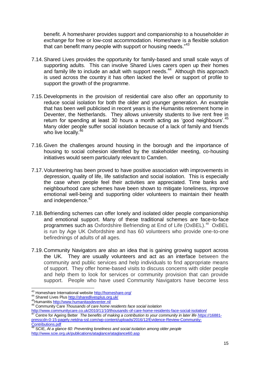benefit. A homesharer provides support and companionship to a householder *in exchange* for free or low-cost accommodation. Homeshare is a flexible solution that can benefit many people with support or housing needs."<sup>43</sup>

- 7.14.Shared Lives provides the opportunity for family-based and small scale ways of supporting adults. This can involve Shared Lives carers open up their homes and family life to include an adult with support needs.<sup>44</sup> Although this approach is used across the country it has often lacked the level or support of profile to support the growth of the programme.
- 7.15.Developments in the provision of residential care also offer an opportunity to reduce social isolation for both the older and younger generation. An example that has been well publicised in recent years is the Humanitis retirement home in Deventer, the Netherlands. They allows university students to live rent free in return for spending at least 30 hours a month acting as 'good neighbours'.<sup>45</sup> Many older people suffer social isolation because of a lack of family and friends who live locally.<sup>46</sup>
- 7.16.Given the challenges around housing in the borough and the importance of housing to social cohesion identified by the stakeholder meeting, co-housing initiatives would seem particularly relevant to Camden.
- 7.17.Volunteering has been proved to have positive association with improvements in depression, quality of life, life satisfaction and social isolation. This is especially the case when people feel their activities are appreciated. Time banks and neighbourhood care schemes have been shown to mitigate loneliness, improve emotional well-being and supporting older volunteers to maintain their health and independence.
- 7.18.Befriending schemes can offer lonely and isolated older people companionship and emotional support. Many of these traditional schemes are face-to-face programmes such as Oxfordshire Befriending at End of Life (OxBEL).<sup>48</sup> OxBEL is run by Age UK Oxfordshire and has 60 volunteers who provide one-to-one befirednings of adults of all ages.
- 7.19.Community Navigators are also an idea that is gaining growing support across the UK. They are usually volunteers and act as an interface between the community and public services and help individuals to find appropriate means of support. They offer home-based visits to discuss concerns with older people and help them to look for services or community provision that can provide support. People who have used Community Navigators have become less

 $\overline{\phantom{a}}$ 

<sup>&</sup>lt;sup>43</sup> Homeshare International websit[e http://homeshare.org/](http://homeshare.org/)

<sup>44</sup> Shared Lives Plus http://sharedlivesplus.org.uk/

<sup>45</sup>Humaniti[s http://www.humanitasdeventer.nl/](http://www.humanitasdeventer.nl/)

<sup>46</sup> Community Care *Thousands of care home residents face social isolation* 

<http://www.communitycare.co.uk/2010/11/10/thousands-of-care-home-residents-face-social-isolation/><br>47 Contra face-social-isolation/

<sup>47</sup> Centre for Ageing Better *The benefits of making a contribution to your community in later life https*[://16881](https://16881-presscdn-0-15-pagely.netdna-ssl.com/wp-content/uploads/2016/12/Evidence-Review-Community-Contributions.pdf) [presscdn-0-15-pagely.netdna-ssl.com/wp-content/uploads/2016/12/Evidence-Review-Community-](https://16881-presscdn-0-15-pagely.netdna-ssl.com/wp-content/uploads/2016/12/Evidence-Review-Community-Contributions.pdf)[Contributions.pdf](https://16881-presscdn-0-15-pagely.netdna-ssl.com/wp-content/uploads/2016/12/Evidence-Review-Community-Contributions.pdf) 

<sup>48</sup> SCIE, *At a glance 60: Preventing loneliness and social isolation among older people* <http://www.scie.org.uk/publications/ataglance/ataglance60.asp>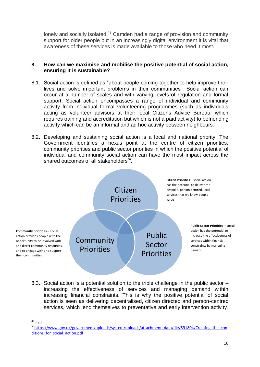lonely and socially isolated.<sup>49</sup> Camden had a range of provision and community support for older people but in an increasingly digital environment it is vital that awareness of these services is made available to those who need it most.

#### **8. How can we maximise and mobilise the positive potential of social action, ensuring it is sustainable?**

- 8.1. Social action is defined as "about people coming together to help improve their lives and solve important problems in their communities". Social action can occur at a number of scales and with varying levels of regulation and formal support. Social action encompasses a range of individual and community activity from individual formal volunteering programmes (such as individuals acting as volunteer advisors at their local Citizens Advice Bureau, which requires training and accreditation but which is not a paid activity) to befriending activity which can be an informal and ad hoc activity between neighbours.
- 8.2. Developing and sustaining social action is a local and national priority. The Government identifies a nexus point at the centre of citizen priorities, community priorities and public sector priorities in which the positive potential of individual and community social action can have the most impact across the shared outcomes of all stakeholders<sup>50</sup>.



8.3. Social action is a potential solution to the triple challenge in the public sector – increasing the effectiveness of services and managing demand within increasing financial constraints. This is why the positive potential of social action is seen as delivering decentralised, citizen directed and person-centred services, which lend themselves to preventative and early intervention activity.

 $\overline{\phantom{a}}$ <sup>49</sup> ibid

<sup>50</sup>[https://www.gov.uk/government/uploads/system/uploads/attachment\\_data/file/591804/Creating\\_the\\_con](https://www.gov.uk/government/uploads/system/uploads/attachment_data/file/591804/Creating_the_conditions_for_social_action.pdf) ditions for social action.pdf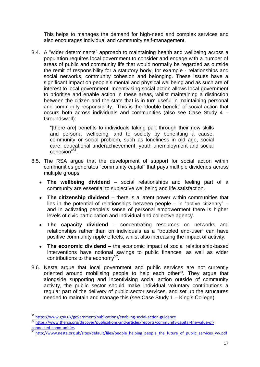This helps to manages the demand for high-need and complex services and also encourages individual and community self-management.

8.4. A "wider determinants" approach to maintaining health and wellbeing across a population requires local government to consider and engage with a number of areas of public and community life that would normally be regarded as outside the remit of responsibility for a statutory body, for example - relationships and social networks, community cohesion and belonging. These issues have a significant impact on people's mental and physical wellbeing and as such are of interest to local government. Incentivising social action allows local government to prioritise and enable action in these areas, whilst maintaining a distinction between the citizen and the state that is in turn useful in maintaining personal and community responsibility. This is the "double benefit" of social action that occurs both across individuals and communities (also see Case Study 4 – Groundswell):

"[there are] benefits to individuals taking part through their new skills and personal wellbeing, and to society by benefitting a cause, community or social problem, such as loneliness in old age, social care, educational underachievement, youth unemployment and social cohesion"<sup>51</sup>.

- 8.5. The RSA argue that the development of support for social action within communities generates "community capital" that pays multiple dividends across multiple groups:
	- **The wellbeing dividend** social relationships and feeling part of a community are essential to subjective wellbeing and life satisfaction.
	- **The citizenship dividend** there is a latent power within communities that lies in the potential of relationships between people – in "active citizenry" – and in activating people's sense of personal empowerment there is higher levels of civic participation and individual and collective agency.
	- **The capacity dividend** concentrating resources on networks and relationships rather than on individuals as a "troubled end-user" can have positive community ripple effects, whilst also increasing the impact of activity.
	- **The economic dividend** the economic impact of social relationship-based interventions have notional savings to public finances, as well as wider contributions to the economy<sup>52</sup>.
- 8.6. Nesta argue that local government and public services are not currently oriented around mobilising people to help each other<sup>53</sup>. They argue that alongside supporting and incentivising social action outside of community activity, the public sector should make individual voluntary contributions a regular part of the delivery of public sector services, and set up the structures needed to maintain and manage this (see Case Study 1 – King's College).

<sup>51</sup> <https://www.gov.uk/government/publications/enabling-social-action-guidance>

<sup>52</sup> [https://www.thersa.org/discover/publications-and-articles/reports/community-capital-the-value-of](https://www.thersa.org/discover/publications-and-articles/reports/community-capital-the-value-of-connected-communities)[connected-communities](https://www.thersa.org/discover/publications-and-articles/reports/community-capital-the-value-of-connected-communities)

<sup>&</sup>lt;sup>53</sup> [http://www.nesta.org.uk/sites/default/files/people\\_helping\\_people\\_the\\_future\\_of\\_public\\_services\\_wv.pdf](http://www.nesta.org.uk/sites/default/files/people_helping_people_the_future_of_public_services_wv.pdf)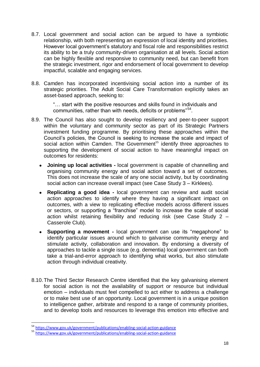- 8.7. Local government and social action can be argued to have a symbiotic relationship, with both representing an expression of local identity and priorities. However local government's statutory and fiscal role and responsibilities restrict its ability to be a truly community-driven organisation at all levels. Social action can be highly flexible and responsive to community need, but can benefit from the strategic investment, rigor and endorsement of local government to develop impactful, scalable and engaging services.
- 8.8. Camden has incorporated incentivising social action into a number of its strategic priorities. The Adult Social Care Transformation explicitly takes an asset-based approach, seeking to:

"… start with the positive resources and skills found in individuals and communities, rather than with needs, deficits or problems"<sup>54</sup>.

- 8.9. The Council has also sought to develop resiliency and peer-to-peer support within the voluntary and community sector as part of its Strategic Partners investment funding programme. By prioritising these approaches within the Council's policies, the Council is seeking to increase the scale and impact of social action within Camden. The Government<sup>55</sup> identify three approaches to supporting the development of social action to have meaningful impact on outcomes for residents:
	- **Joining up local activities -** local government is capable of channelling and organising community energy and social action toward a set of outcomes. This does not increase the scale of any one social activity, but by coordinating social action can increase overall impact (see Case Study 3 – Kirklees).
	- **Replicating a good idea -** local government can review and audit social action approaches to identify where they having a significant impact on outcomes, with a view to replicating effective models across different issues or sectors, or supporting a "franchise" model to increase the scale of social action whilst retaining flexibility and reducing risk (see Case Study 2 – Casserole Club).
	- **Supporting a movement -** local government can use its "megaphone" to identify particular issues around which to galvanise community energy and stimulate activity, collaboration and innovation. By endorsing a diversity of approaches to tackle a single issue (e.g. dementia) local government can both take a trial-and-error approach to identifying what works, but also stimulate action through individual creativity.
- 8.10.The Third Sector Research Centre identified that the key galvanising element for social action is not the availability of support or resource but individual emotion – individuals must feel compelled to act either to address a challenge or to make best use of an opportunity. Local government is in a unique position to intelligence gather, arbitrate and respond to a range of community priorities, and to develop tools and resources to leverage this emotion into effective and

1

<sup>&</sup>lt;sup>54</sup> <https://www.gov.uk/government/publications/enabling-social-action-guidance>

 $\frac{1}{55}$  <https://www.gov.uk/government/publications/enabling-social-action-guidance>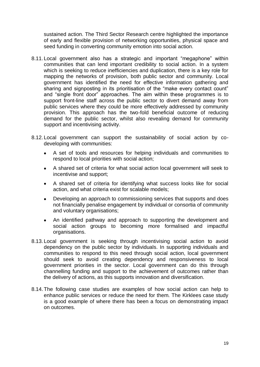sustained action. The Third Sector Research centre highlighted the importance of early and flexible provision of networking opportunities, physical space and seed funding in converting community emotion into social action.

- 8.11.Local government also has a strategic and important "megaphone" within communities that can lend important credibility to social action. In a system which is seeking to reduce inefficiencies and duplication, there is a key role for mapping the networks of provision, both public sector and community. Local government has identified the need for effective information gathering and sharing and signposting in its prioritisation of the "make every contact count" and "single front door" approaches. The aim within these programmes is to support front-line staff across the public sector to divert demand away from public services where they could be more effectively addressed by community provision. This approach has the two-fold beneficial outcome of reducing demand for the public sector, whilst also revealing demand for community support and incentivising activity.
- 8.12.Local government can support the sustainability of social action by codeveloping with communities:
	- A set of tools and resources for helping individuals and communities to respond to local priorities with social action;
	- A shared set of criteria for what social action local government will seek to incentivise and support;
	- A shared set of criteria for identifying what success looks like for social action, and what criteria exist for scalable models;
	- Developing an approach to commissioning services that supports and does not financially penalise engagement by individual or consortia of community and voluntary organisations;
	- An identified pathway and approach to supporting the development and social action groups to becoming more formalised and impactful organisations.
- 8.13.Local government is seeking through incentivising social action to avoid dependency on the public sector by individuals. In supporting individuals and communities to respond to this need through social action, local government should seek to avoid creating dependency and responsiveness to local government priorities in the sector. Local government can do this through channelling funding and support to the achievement of outcomes rather than the delivery of actions, as this supports innovation and diversification.
- 8.14.The following case studies are examples of how social action can help to enhance public services or reduce the need for them. The Kirklees case study is a good example of where there has been a focus on demonstrating impact on outcomes.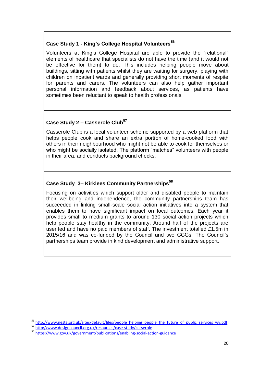# **Case Study 1 - King's College Hospital Volunteers<sup>56</sup>**

Volunteers at King's College Hospital are able to provide the "relational" elements of healthcare that specialists do not have the time (and it would not be effective for them) to do. This includes helping people move about buildings, sitting with patients whilst they are waiting for surgery, playing with children on inpatient wards and generally providing short moments of respite for parents and carers. The volunteers can also help gather important personal information and feedback about services, as patients have sometimes been reluctant to speak to health professionals.

# **Case Study 2 – Casserole Club<sup>57</sup>**

Casserole Club is a local volunteer scheme supported by a web platform that helps people cook and share an extra portion of home-cooked food with others in their neighbourhood who might not be able to cook for themselves or who might be socially isolated. The platform "matches" volunteers with people in their area, and conducts background checks.

# **Case Study 3– Kirklees Community Partnerships<sup>58</sup>**

Focusing on activities which support older and disabled people to maintain their wellbeing and independence, the community partnerships team has succeeded in linking small-scale social action initiatives into a system that enables them to have significant impact on local outcomes. Each year it provides small to medium grants to around 130 social action projects which help people stay healthy in the community. Around half of the projects are user led and have no paid members of staff. The investment totalled £1.5m in 2015/16 and was co-funded by the Council and two CCGs. The Council's partnerships team provide in kind development and administrative support.

**.** 

<sup>&</sup>lt;sup>56</sup> [http://www.nesta.org.uk/sites/default/files/people\\_helping\\_people\\_the\\_future\\_of\\_public\\_services\\_wv.pdf](http://www.nesta.org.uk/sites/default/files/people_helping_people_the_future_of_public_services_wv.pdf)

<sup>57</sup> <http://www.designcouncil.org.uk/resources/case-study/casserole>

<sup>58</sup> <https://www.gov.uk/government/publications/enabling-social-action-guidance>